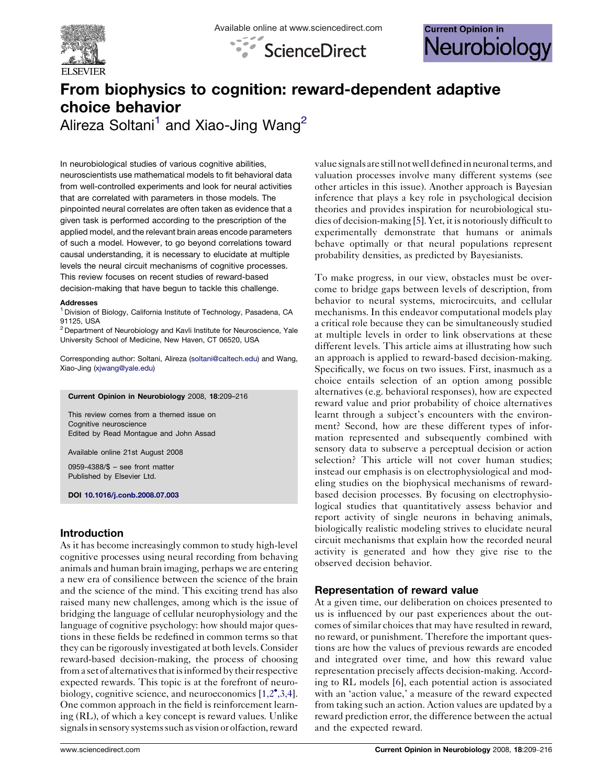





# From biophysics to cognition: reward-dependent adaptive choice behavior Alireza Soltani<sup>1</sup> and Xiao-Jing Wang<sup>2</sup>

In neurobiological studies of various cognitive abilities. neuroscientists use mathematical models to fit behavioral data from well-controlled experiments and look for neural activities that are correlated with parameters in those models. The pinpointed neural correlates are often taken as evidence that a given task is performed according to the prescription of the

applied model, and the relevant brain areas encode parameters of such a model. However, to go beyond correlations toward causal understanding, it is necessary to elucidate at multiple levels the neural circuit mechanisms of cognitive processes. This review focuses on recent studies of reward-based decision-making that have begun to tackle this challenge.

#### Addresses

<sup>1</sup> Division of Biology, California Institute of Technology, Pasadena, CA 91125, USA

<sup>2</sup> Department of Neurobiology and Kavli Institute for Neuroscience, Yale University School of Medicine, New Haven, CT 06520, USA

Corresponding author: Soltani, Alireza [\(soltani@caltech.edu](mailto:soltani@caltech.edu)) and Wang, Xiao-Jing ([xjwang@yale.edu\)](mailto:xjwang@yale.edu)

#### Current Opinion in Neurobiology 2008, 18:209–216

This review comes from a themed issue on Cognitive neuroscience Edited by Read Montague and John Assad

Available online 21st August 2008

0959-4388/\$ – see front matter Published by Elsevier Ltd.

DOI [10.1016/j.conb.2008.07.003](http://dx.doi.org/10.1016/j.conb.2008.07.003)

## Introduction

As it has become increasingly common to study high-level cognitive processes using neural recording from behaving animals and human brain imaging, perhaps we are entering a new era of consilience between the science of the brain and the science of the mind. This exciting trend has also raised many new challenges, among which is the issue of bridging the language of cellular neurophysiology and the language of cognitive psychology: how should major questions in these fields be redefined in common terms so that they can be rigorously investigated at both levels. Consider reward-based decision-making, the process of choosing from a set of alternatives that is informed by their respective expected rewards. This topic is at the forefront of neurobiology, cognitive science, and neuroeconomics  $[1,2^{\bullet},3,4]$  $[1,2^{\bullet},3,4]$  $[1,2^{\bullet},3,4]$  $[1,2^{\bullet},3,4]$  $[1,2^{\bullet},3,4]$ . One common approach in the field is reinforcement learning (RL), of which a key concept is reward values. Unlike signals in sensory systems such as vision or olfaction, reward

value signals are still notwell definedin neuronal terms, and valuation processes involve many different systems (see other articles in this issue). Another approach is Bayesian inference that plays a key role in psychological decision theories and provides inspiration for neurobiological studies of decision-making [[5\]](#page-6-0). Yet, it is notoriously difficult to experimentally demonstrate that humans or animals behave optimally or that neural populations represent probability densities, as predicted by Bayesianists.

To make progress, in our view, obstacles must be overcome to bridge gaps between levels of description, from behavior to neural systems, microcircuits, and cellular mechanisms. In this endeavor computational models play a critical role because they can be simultaneously studied at multiple levels in order to link observations at these different levels. This article aims at illustrating how such an approach is applied to reward-based decision-making. Specifically, we focus on two issues. First, inasmuch as a choice entails selection of an option among possible alternatives (e.g. behavioral responses), how are expected reward value and prior probability of choice alternatives learnt through a subject's encounters with the environment? Second, how are these different types of information represented and subsequently combined with sensory data to subserve a perceptual decision or action selection? This article will not cover human studies; instead our emphasis is on electrophysiological and modeling studies on the biophysical mechanisms of rewardbased decision processes. By focusing on electrophysiological studies that quantitatively assess behavior and report activity of single neurons in behaving animals, biologically realistic modeling strives to elucidate neural circuit mechanisms that explain how the recorded neural activity is generated and how they give rise to the observed decision behavior.

## Representation of reward value

At a given time, our deliberation on choices presented to us is influenced by our past experiences about the outcomes of similar choices that may have resulted in reward, no reward, or punishment. Therefore the important questions are how the values of previous rewards are encoded and integrated over time, and how this reward value representation precisely affects decision-making. According to RL models [\[6](#page-6-0)], each potential action is associated with an 'action value,' a measure of the reward expected from taking such an action. Action values are updated by a reward prediction error, the difference between the actual and the expected reward.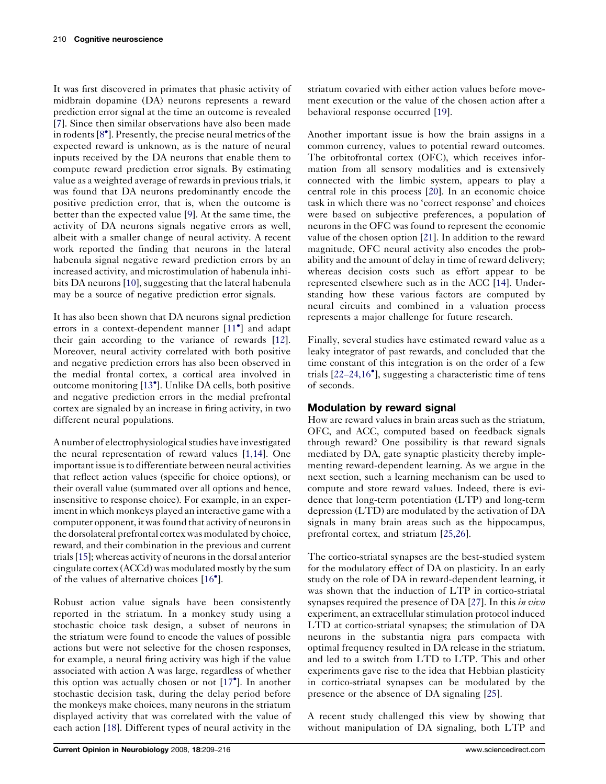It was first discovered in primates that phasic activity of midbrain dopamine (DA) neurons represents a reward prediction error signal at the time an outcome is revealed [\[7](#page-6-0)]. Since then similar observations have also been made in rodents [[8](#page-6-0)<sup>°</sup>]. Presently, the precise neural metrics of the expected reward is unknown, as is the nature of neural inputs received by the DA neurons that enable them to compute reward prediction error signals. By estimating value as a weighted average of rewards in previous trials, it was found that DA neurons predominantly encode the positive prediction error, that is, when the outcome is better than the expected value [\[9](#page-6-0)]. At the same time, the activity of DA neurons signals negative errors as well, albeit with a smaller change of neural activity. A recent work reported the finding that neurons in the lateral habenula signal negative reward prediction errors by an increased activity, and microstimulation of habenula inhibits DA neurons [[10\]](#page-6-0), suggesting that the lateral habenula may be a source of negative prediction error signals.

It has also been shown that DA neurons signal prediction errors in a context-dependent manner [\[11](#page-6-0)<sup>°</sup>] and adapt their gain according to the variance of rewards [\[12](#page-6-0)]. Moreover, neural activity correlated with both positive and negative prediction errors has also been observed in the medial frontal cortex, a cortical area involved in outcome monitoring [[13](#page-6-0)<sup>°</sup>]. Unlike DA cells, both positive and negative prediction errors in the medial prefrontal cortex are signaled by an increase in firing activity, in two different neural populations.

A number of electrophysiological studies have investigated the neural representation of reward values [\[1,14](#page-6-0)]. One important issue is to differentiate between neural activities that reflect action values (specific for choice options), or their overall value (summated over all options and hence, insensitive to response choice). For example, in an experiment in which monkeys played an interactive game with a computer opponent, it was found that activity of neurons in the dorsolateral prefrontal cortex was modulated by choice, reward, and their combination in the previous and current trials [\[15](#page-6-0)]; whereas activity of neurons in the dorsal anterior cingulate cortex (ACCd) was modulated mostly by the sum of the values of alternative choices [\[16](#page-6-0)<sup>°</sup>].

Robust action value signals have been consistently reported in the striatum. In a monkey study using a stochastic choice task design, a subset of neurons in the striatum were found to encode the values of possible actions but were not selective for the chosen responses, for example, a neural firing activity was high if the value associated with action A was large, regardless of whether this option was actually chosen or not [[17](#page-6-0)<sup>°</sup>]. In another stochastic decision task, during the delay period before the monkeys make choices, many neurons in the striatum displayed activity that was correlated with the value of each action [[18\]](#page-6-0). Different types of neural activity in the

striatum covaried with either action values before movement execution or the value of the chosen action after a behavioral response occurred [[19\]](#page-6-0).

Another important issue is how the brain assigns in a common currency, values to potential reward outcomes. The orbitofrontal cortex (OFC), which receives information from all sensory modalities and is extensively connected with the limbic system, appears to play a central role in this process [\[20](#page-6-0)]. In an economic choice task in which there was no 'correct response' and choices were based on subjective preferences, a population of neurons in the OFC was found to represent the economic value of the chosen option [\[21](#page-6-0)]. In addition to the reward magnitude, OFC neural activity also encodes the probability and the amount of delay in time of reward delivery; whereas decision costs such as effort appear to be represented elsewhere such as in the ACC [[14\]](#page-6-0). Understanding how these various factors are computed by neural circuits and combined in a valuation process represents a major challenge for future research.

Finally, several studies have estimated reward value as a leaky integrator of past rewards, and concluded that the time constant of this integration is on the order of a few trials [22-[24,16](#page-6-0)<sup>°</sup>], suggesting a characteristic time of tens of seconds.

# Modulation by reward signal

How are reward values in brain areas such as the striatum, OFC, and ACC, computed based on feedback signals through reward? One possibility is that reward signals mediated by DA, gate synaptic plasticity thereby implementing reward-dependent learning. As we argue in the next section, such a learning mechanism can be used to compute and store reward values. Indeed, there is evidence that long-term potentiation (LTP) and long-term depression (LTD) are modulated by the activation of DA signals in many brain areas such as the hippocampus, prefrontal cortex, and striatum [\[25,26\]](#page-6-0).

The cortico-striatal synapses are the best-studied system for the modulatory effect of DA on plasticity. In an early study on the role of DA in reward-dependent learning, it was shown that the induction of LTP in cortico-striatal synapses required the presence of DA [\[27](#page-6-0)]. In this *in vivo* experiment, an extracellular stimulation protocol induced LTD at cortico-striatal synapses; the stimulation of DA neurons in the substantia nigra pars compacta with optimal frequency resulted in DA release in the striatum, and led to a switch from LTD to LTP. This and other experiments gave rise to the idea that Hebbian plasticity in cortico-striatal synapses can be modulated by the presence or the absence of DA signaling [\[25](#page-6-0)].

A recent study challenged this view by showing that without manipulation of DA signaling, both LTP and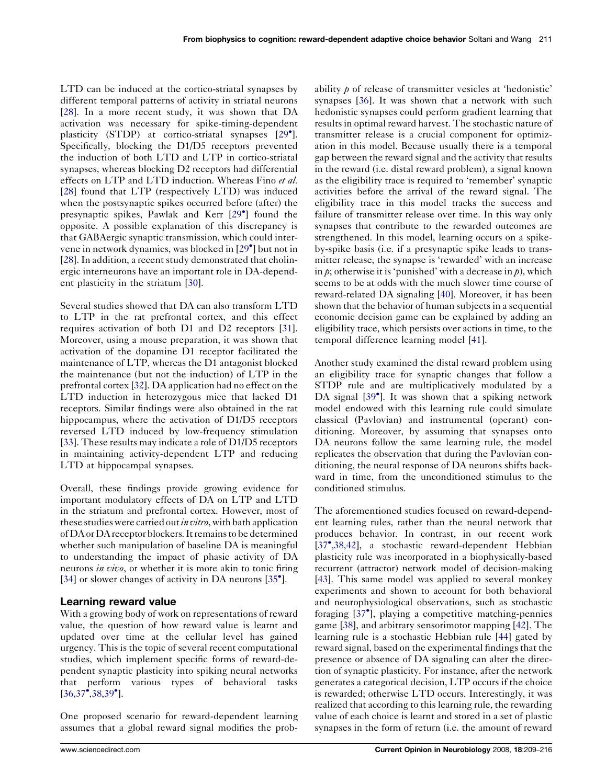LTD can be induced at the cortico-striatal synapses by different temporal patterns of activity in striatal neurons [\[28](#page-6-0)]. In a more recent study, it was shown that DA activation was necessary for spike-timing-dependent plasticity (STDP) at cortico-striatal synapses [[29](#page-6-0)°]. Specifically, blocking the D1/D5 receptors prevented the induction of both LTD and LTP in cortico-striatal synapses, whereas blocking D2 receptors had differential effects on LTP and LTD induction. Whereas Fino *et al.* [\[28](#page-6-0)] found that LTP (respectively LTD) was induced when the postsynaptic spikes occurred before (after) the presynaptic spikes, Pawlak and Kerr [\[29](#page-6-0)<sup>°</sup>] found the opposite. A possible explanation of this discrepancy is that GABAergic synaptic transmission, which could inter-vene in network dynamics, was blocked in [[29](#page-6-0)<sup>°</sup>] but not in [\[28](#page-6-0)]. In addition, a recent study demonstrated that cholinergic interneurons have an important role in DA-dependent plasticity in the striatum [\[30](#page-6-0)].

Several studies showed that DA can also transform LTD to LTP in the rat prefrontal cortex, and this effect requires activation of both D1 and D2 receptors [\[31](#page-6-0)]. Moreover, using a mouse preparation, it was shown that activation of the dopamine D1 receptor facilitated the maintenance of LTP, whereas the D1 antagonist blocked the maintenance (but not the induction) of LTP in the prefrontal cortex [[32\]](#page-6-0). DA application had no effect on the LTD induction in heterozygous mice that lacked D1 receptors. Similar findings were also obtained in the rat hippocampus, where the activation of D1/D5 receptors reversed LTD induced by low-frequency stimulation [\[33](#page-6-0)]. These results may indicate a role of D1/D5 receptors in maintaining activity-dependent LTP and reducing LTD at hippocampal synapses.

Overall, these findings provide growing evidence for important modulatory effects of DA on LTP and LTD in the striatum and prefrontal cortex. However, most of these studies were carried out *in vitro*, with bath application of DA or DA receptor blockers. It remains to be determined whether such manipulation of baseline DA is meaningful to understanding the impact of phasic activity of DA neurons *in vivo*, or whether it is more akin to tonic firing [\[34](#page-6-0)] or slower changes of activity in DA neurons [\[35](#page-7-0)°].

## Learning reward value

With a growing body of work on representations of reward value, the question of how reward value is learnt and updated over time at the cellular level has gained urgency. This is the topic of several recent computational studies, which implement specific forms of reward-dependent synaptic plasticity into spiking neural networks that perform various types of behavioral tasks  $[36,37^{\bullet},38,39^{\bullet}].$  $[36,37^{\bullet},38,39^{\bullet}].$  $[36,37^{\bullet},38,39^{\bullet}].$  $[36,37^{\bullet},38,39^{\bullet}].$ 

One proposed scenario for reward-dependent learning assumes that a global reward signal modifies the probability  $p$  of release of transmitter vesicles at 'hedonistic' synapses [[36\]](#page-7-0). It was shown that a network with such hedonistic synapses could perform gradient learning that results in optimal reward harvest. The stochastic nature of transmitter release is a crucial component for optimization in this model. Because usually there is a temporal gap between the reward signal and the activity that results in the reward (i.e. distal reward problem), a signal known as the eligibility trace is required to 'remember' synaptic activities before the arrival of the reward signal. The eligibility trace in this model tracks the success and failure of transmitter release over time. In this way only synapses that contribute to the rewarded outcomes are strengthened. In this model, learning occurs on a spikeby-spike basis (i.e. if a presynaptic spike leads to transmitter release, the synapse is 'rewarded' with an increase in  $p$ ; otherwise it is 'punished' with a decrease in  $p$ ), which seems to be at odds with the much slower time course of reward-related DA signaling [\[40](#page-7-0)]. Moreover, it has been shown that the behavior of human subjects in a sequential economic decision game can be explained by adding an eligibility trace, which persists over actions in time, to the temporal difference learning model [[41\]](#page-7-0).

Another study examined the distal reward problem using an eligibility trace for synaptic changes that follow a STDP rule and are multiplicatively modulated by a DA signal [\[39](#page-7-0)<sup>°</sup>]. It was shown that a spiking network model endowed with this learning rule could simulate classical (Pavlovian) and instrumental (operant) conditioning. Moreover, by assuming that synapses onto DA neurons follow the same learning rule, the model replicates the observation that during the Pavlovian conditioning, the neural response of DA neurons shifts backward in time, from the unconditioned stimulus to the conditioned stimulus.

The aforementioned studies focused on reward-dependent learning rules, rather than the neural network that produces behavior. In contrast, in our recent work [[37](#page-7-0)- [,38,42](#page-7-0)], a stochastic reward-dependent Hebbian plasticity rule was incorporated in a biophysically-based recurrent (attractor) network model of decision-making [[43](#page-7-0)]. This same model was applied to several monkey experiments and shown to account for both behavioral and neurophysiological observations, such as stochastic foraging [\[37](#page-7-0)<sup>°</sup>], playing a competitive matching-pennies game [[38\]](#page-7-0), and arbitrary sensorimotor mapping [[42\]](#page-7-0). The learning rule is a stochastic Hebbian rule [\[44](#page-7-0)] gated by reward signal, based on the experimental findings that the presence or absence of DA signaling can alter the direction of synaptic plasticity. For instance, after the network generates a categorical decision, LTP occurs if the choice is rewarded; otherwise LTD occurs. Interestingly, it was realized that according to this learning rule, the rewarding value of each choice is learnt and stored in a set of plastic synapses in the form of return (i.e. the amount of reward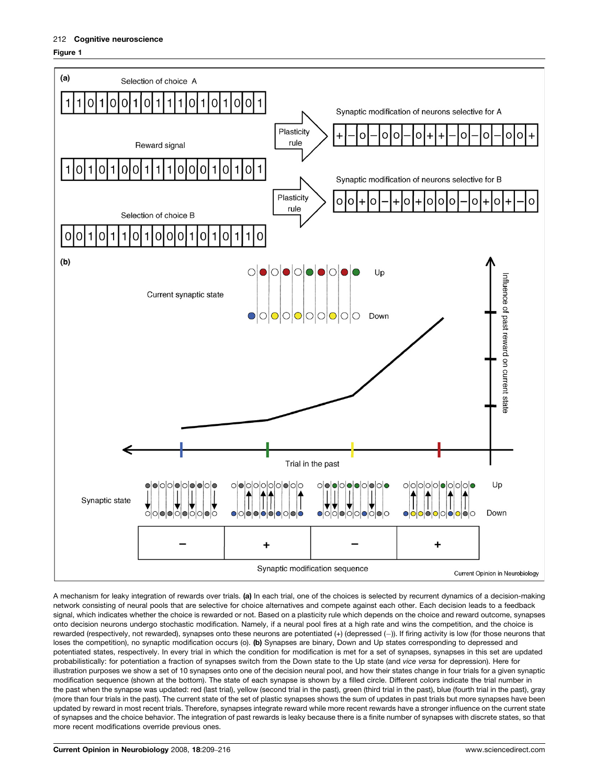#### <span id="page-3-0"></span>Figure 1



A mechanism for leaky integration of rewards over trials. (a) In each trial, one of the choices is selected by recurrent dynamics of a decision-making network consisting of neural pools that are selective for choice alternatives and compete against each other. Each decision leads to a feedback signal, which indicates whether the choice is rewarded or not. Based on a plasticity rule which depends on the choice and reward outcome, synapses onto decision neurons undergo stochastic modification. Namely, if a neural pool fires at a high rate and wins the competition, and the choice is rewarded (respectively, not rewarded), synapses onto these neurons are potentiated (+) (depressed (-)). If firing activity is low (for those neurons that loses the competition), no synaptic modification occurs (o). (b) Synapses are binary, Down and Up states corresponding to depressed and potentiated states, respectively. In every trial in which the condition for modification is met for a set of synapses, synapses in this set are updated probabilistically: for potentiation a fraction of synapses switch from the Down state to the Up state (and vice versa for depression). Here for illustration purposes we show a set of 10 synapses onto one of the decision neural pool, and how their states change in four trials for a given synaptic modification sequence (shown at the bottom). The state of each synapse is shown by a filled circle. Different colors indicate the trial number in the past when the synapse was updated: red (last trial), yellow (second trial in the past), green (third trial in the past), blue (fourth trial in the past), gray (more than four trials in the past). The current state of the set of plastic synapses shows the sum of updates in past trials but more synapses have been updated by reward in most recent trials. Therefore, synapses integrate reward while more recent rewards have a stronger influence on the current state of synapses and the choice behavior. The integration of past rewards is leaky because there is a finite number of synapses with discrete states, so that more recent modifications override previous ones.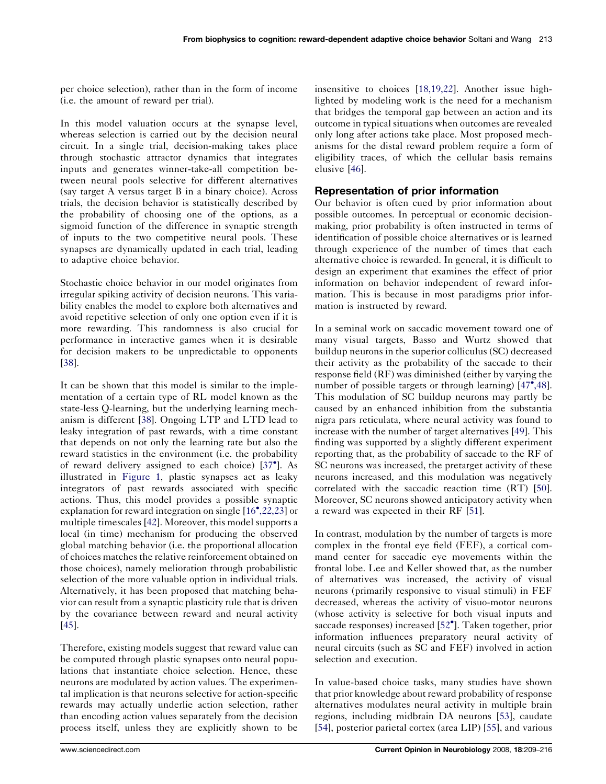per choice selection), rather than in the form of income (i.e. the amount of reward per trial).

In this model valuation occurs at the synapse level, whereas selection is carried out by the decision neural circuit. In a single trial, decision-making takes place through stochastic attractor dynamics that integrates inputs and generates winner-take-all competition between neural pools selective for different alternatives (say target A versus target B in a binary choice). Across trials, the decision behavior is statistically described by the probability of choosing one of the options, as a sigmoid function of the difference in synaptic strength of inputs to the two competitive neural pools. These synapses are dynamically updated in each trial, leading to adaptive choice behavior.

Stochastic choice behavior in our model originates from irregular spiking activity of decision neurons. This variability enables the model to explore both alternatives and avoid repetitive selection of only one option even if it is more rewarding. This randomness is also crucial for performance in interactive games when it is desirable for decision makers to be unpredictable to opponents [\[38](#page-7-0)].

It can be shown that this model is similar to the implementation of a certain type of RL model known as the state-less Q-learning, but the underlying learning mechanism is different [[38\]](#page-7-0). Ongoing LTP and LTD lead to leaky integration of past rewards, with a time constant that depends on not only the learning rate but also the reward statistics in the environment (i.e. the probability of reward delivery assigned to each choice) [[37](#page-7-0)<sup>°</sup>]. As illustrated in [Figure 1](#page-3-0), plastic synapses act as leaky integrators of past rewards associated with specific actions. Thus, this model provides a possible synaptic explanation for reward integration on single  $[16^{\bullet}, 22, 23]$  $[16^{\bullet}, 22, 23]$  $[16^{\bullet}, 22, 23]$  or multiple timescales [[42\]](#page-7-0). Moreover, this model supports a local (in time) mechanism for producing the observed global matching behavior (i.e. the proportional allocation of choices matches the relative reinforcement obtained on those choices), namely melioration through probabilistic selection of the more valuable option in individual trials. Alternatively, it has been proposed that matching behavior can result from a synaptic plasticity rule that is driven by the covariance between reward and neural activity [\[45](#page-7-0)].

Therefore, existing models suggest that reward value can be computed through plastic synapses onto neural populations that instantiate choice selection. Hence, these neurons are modulated by action values. The experimental implication is that neurons selective for action-specific rewards may actually underlie action selection, rather than encoding action values separately from the decision process itself, unless they are explicitly shown to be insensitive to choices [\[18,19,22](#page-6-0)]. Another issue highlighted by modeling work is the need for a mechanism that bridges the temporal gap between an action and its outcome in typical situations when outcomes are revealed only long after actions take place. Most proposed mechanisms for the distal reward problem require a form of eligibility traces, of which the cellular basis remains elusive [[46\]](#page-7-0).

## Representation of prior information

Our behavior is often cued by prior information about possible outcomes. In perceptual or economic decisionmaking, prior probability is often instructed in terms of identification of possible choice alternatives or is learned through experience of the number of times that each alternative choice is rewarded. In general, it is difficult to design an experiment that examines the effect of prior information on behavior independent of reward information. This is because in most paradigms prior information is instructed by reward.

In a seminal work on saccadic movement toward one of many visual targets, Basso and Wurtz showed that buildup neurons in the superior colliculus (SC) decreased their activity as the probability of the saccade to their response field (RF) was diminished (either by varying the number of possible targets or through learning) [\[47](#page-7-0)<sup>°</sup>[,48\]](#page-7-0). This modulation of SC buildup neurons may partly be caused by an enhanced inhibition from the substantia nigra pars reticulata, where neural activity was found to increase with the number of target alternatives [\[49](#page-7-0)]. This finding was supported by a slightly different experiment reporting that, as the probability of saccade to the RF of SC neurons was increased, the pretarget activity of these neurons increased, and this modulation was negatively correlated with the saccadic reaction time (RT) [[50\]](#page-7-0). Moreover, SC neurons showed anticipatory activity when a reward was expected in their RF [\[51](#page-7-0)].

In contrast, modulation by the number of targets is more complex in the frontal eye field (FEF), a cortical command center for saccadic eye movements within the frontal lobe. Lee and Keller showed that, as the number of alternatives was increased, the activity of visual neurons (primarily responsive to visual stimuli) in FEF decreased, whereas the activity of visuo-motor neurons (whose activity is selective for both visual inputs and saccade responses) increased [\[52](#page-7-0)°]. Taken together, prior information influences preparatory neural activity of neural circuits (such as SC and FEF) involved in action selection and execution.

In value-based choice tasks, many studies have shown that prior knowledge about reward probability of response alternatives modulates neural activity in multiple brain regions, including midbrain DA neurons [\[53](#page-7-0)], caudate [[54](#page-7-0)], posterior parietal cortex (area LIP) [\[55](#page-7-0)], and various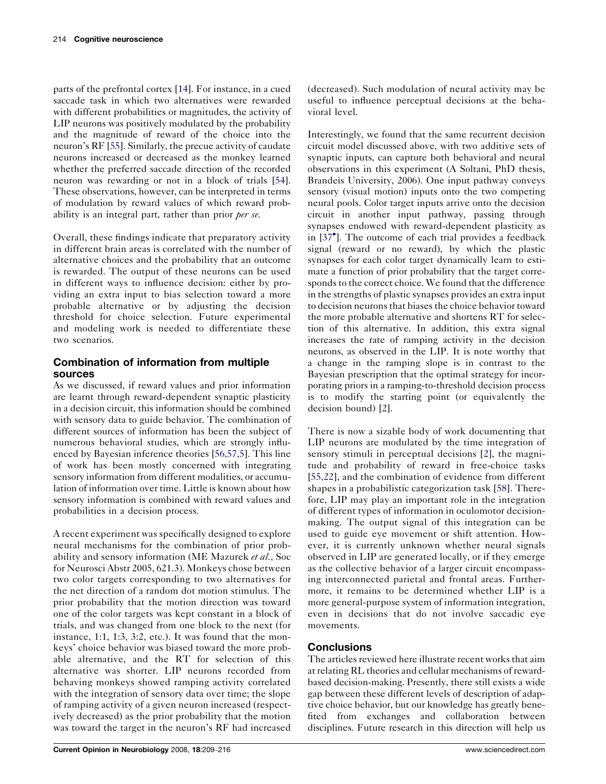parts of the prefrontal cortex [\[14](#page-6-0)]. For instance, in a cued saccade task in which two alternatives were rewarded with different probabilities or magnitudes, the activity of LIP neurons was positively modulated by the probability and the magnitude of reward of the choice into the neuron's RF [\[55](#page-7-0)]. Similarly, the precue activity of caudate neurons increased or decreased as the monkey learned whether the preferred saccade direction of the recorded neuron was rewarding or not in a block of trials [\[54](#page-7-0)]. These observations, however, can be interpreted in terms of modulation by reward values of which reward probability is an integral part, rather than prior per se.

Overall, these findings indicate that preparatory activity in different brain areas is correlated with the number of alternative choices and the probability that an outcome is rewarded. The output of these neurons can be used in different ways to influence decision: either by providing an extra input to bias selection toward a more probable alternative or by adjusting the decision threshold for choice selection. Future experimental and modeling work is needed to differentiate these two scenarios.

# Combination of information from multiple sources

As we discussed, if reward values and prior information are learnt through reward-dependent synaptic plasticity in a decision circuit, this information should be combined with sensory data to guide behavior. The combination of different sources of information has been the subject of numerous behavioral studies, which are strongly influenced by Bayesian inference theories [\[56,57,5](#page-7-0)]. This line of work has been mostly concerned with integrating sensory information from different modalities, or accumulation of information over time. Little is known about how sensory information is combined with reward values and probabilities in a decision process.

A recent experiment was specifically designed to explore neural mechanisms for the combination of prior probability and sensory information (ME Mazurek et al., Soc for Neurosci Abstr 2005, 621.3). Monkeys chose between two color targets corresponding to two alternatives for the net direction of a random dot motion stimulus. The prior probability that the motion direction was toward one of the color targets was kept constant in a block of trials, and was changed from one block to the next (for instance, 1:1, 1:3, 3:2, etc.). It was found that the monkeys' choice behavior was biased toward the more probable alternative, and the RT for selection of this alternative was shorter. LIP neurons recorded from behaving monkeys showed ramping activity correlated with the integration of sensory data over time; the slope of ramping activity of a given neuron increased (respectively decreased) as the prior probability that the motion was toward the target in the neuron's RF had increased

(decreased). Such modulation of neural activity may be useful to influence perceptual decisions at the behavioral level.

Interestingly, we found that the same recurrent decision circuit model discussed above, with two additive sets of synaptic inputs, can capture both behavioral and neural observations in this experiment (A Soltani, PhD thesis, Brandeis University, 2006). One input pathway conveys sensory (visual motion) inputs onto the two competing neural pools. Color target inputs arrive onto the decision circuit in another input pathway, passing through synapses endowed with reward-dependent plasticity as in [\[37](#page-7-0)- ]. The outcome of each trial provides a feedback signal (reward or no reward), by which the plastic synapses for each color target dynamically learn to estimate a function of prior probability that the target corresponds to the correct choice. We found that the difference in the strengths of plastic synapses provides an extra input to decision neurons that biases the choice behavior toward the more probable alternative and shortens RT for selection of this alternative. In addition, this extra signal increases the rate of ramping activity in the decision neurons, as observed in the LIP. It is note worthy that a change in the ramping slope is in contrast to the Bayesian prescription that the optimal strategy for incorporating priors in a ramping-to-threshold decision process is to modify the starting point (or equivalently the decision bound) [\[2](#page-6-0)].

There is now a sizable body of work documenting that LIP neurons are modulated by the time integration of sensory stimuli in perceptual decisions [[2](#page-6-0)], the magnitude and probability of reward in free-choice tasks [[55,22](#page-7-0)], and the combination of evidence from different shapes in a probabilistic categorization task [\[58](#page-7-0)]. Therefore, LIP may play an important role in the integration of different types of information in oculomotor decisionmaking. The output signal of this integration can be used to guide eye movement or shift attention. However, it is currently unknown whether neural signals observed in LIP are generated locally, or if they emerge as the collective behavior of a larger circuit encompassing interconnected parietal and frontal areas. Furthermore, it remains to be determined whether LIP is a more general-purpose system of information integration, even in decisions that do not involve saccadic eye movements.

# Conclusions

The articles reviewed here illustrate recent works that aim at relating RL theories and cellular mechanisms of rewardbased decision-making. Presently, there still exists a wide gap between these different levels of description of adaptive choice behavior, but our knowledge has greatly benefited from exchanges and collaboration between disciplines. Future research in this direction will help us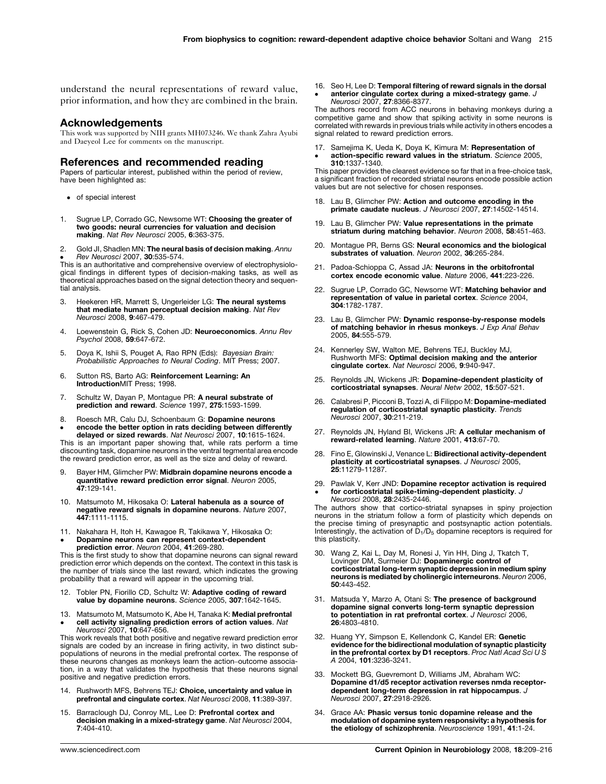<span id="page-6-0"></span>understand the neural representations of reward value, prior information, and how they are combined in the brain.

#### Acknowledgements

This work was supported by NIH grants MH073246. We thank Zahra Ayubi and Daeyeol Lee for comments on the manuscript.

#### References and recommended reading

Papers of particular interest, published within the period of review, have been highlighted as:

- of special interest
- 1. Sugrue LP, Corrado GC, Newsome WT: Choosing the greater of two goods: neural currencies for valuation and decision making. Nat Rev Neurosci 2005, 6:363-375.
- $2.$  $\bullet$ Gold JI, Shadlen MN: The neural basis of decision making. Annu Rev Neurosci 2007, 30:535-574.

This is an authoritative and comprehensive overview of electrophysiological findings in different types of decision-making tasks, as well as theoretical approaches based on the signal detection theory and sequential analysis.

- 3. Heekeren HR, Marrett S, Ungerleider LG: The neural systems that mediate human perceptual decision making. Nat Rev Neurosci 2008, 9:467-479.
- 4. Loewenstein G, Rick S, Cohen JD: Neuroeconomics. Annu Rev Psychol 2008, 59:647-672.
- 5. Doya K, Ishii S, Pouget A, Rao RPN (Eds): Bayesian Brain: Probabilistic Approaches to Neural Coding. MIT Press; 2007.
- 6. Sutton RS, Barto AG: Reinforcement Learning: An IntroductionMIT Press; 1998.
- 7. Schultz W, Dayan P, Montague PR: A neural substrate of prediction and reward. Science 1997, 275:1593-1599.
- 8.  $\bullet$ Roesch MR, Calu DJ, Schoenbaum G: Dopamine neurons encode the better option in rats deciding between differently

delayed or sized rewards. Nat Neurosci 2007, 10:1615-1624. This is an important paper showing that, while rats perform a time discounting task, dopamine neurons in the ventral tegmental area encode the reward prediction error, as well as the size and delay of reward.

- Bayer HM, Glimcher PW: Midbrain dopamine neurons encode a quantitative reward prediction error signal. Neuron 2005, 47:129-141.
- 10. Matsumoto M, Hikosaka O: Lateral habenula as a source of negative reward signals in dopamine neurons. Nature 2007, 447:1111-1115.
- 11.  $\bullet$ Nakahara H, Itoh H, Kawagoe R, Takikawa Y, Hikosaka O: Dopamine neurons can represent context-dependent

prediction error. Neuron 2004, 41:269-280. This is the first study to show that dopamine neurons can signal reward prediction error which depends on the context. The context in this task is the number of trials since the last reward, which indicates the growing

- probability that a reward will appear in the upcoming trial. 12. Tobler PN, Fiorillo CD, Schultz W: Adaptive coding of reward
- value by dopamine neurons. Science 2005, 307:1642-1645.
- 13. Matsumoto M, Matsumoto K, Abe H, Tanaka K: Medial prefrontal  $\bullet$ **cell activity signaling prediction errors of action values**. *Nat*<br>Neurosci 2007, **10**:647-656.

This work reveals that both positive and negative reward prediction error signals are coded by an increase in firing activity, in two distinct subpopulations of neurons in the medial prefrontal cortex. The response of these neurons changes as monkeys learn the action–outcome association, in a way that validates the hypothesis that these neurons signal positive and negative prediction errors.

- 14. Rushworth MFS, Behrens TEJ: Choice, uncertainty and value in prefrontal and cingulate cortex. Nat Neurosci 2008, 11:389-397.
- 15. Barraclough DJ, Conroy ML, Lee D: Prefrontal cortex and decision making in a mixed-strategy game. Nat Neurosci 2004, 7:404-410.

16. Seo H, Lee D: Temporal filtering of reward signals in the dorsal anterior cingulate cortex during a mixed-strategy game. J Neurosci 2007, 27:8366-8377.

The authors record from ACC neurons in behaving monkeys during a competitive game and show that spiking activity in some neurons is correlated with rewards in previous trials while activity in others encodes a signal related to reward prediction errors.

- 17. Samejima K, Ueda K, Doya K, Kimura M: Representation of -
- action-specific reward values in the striatum. Science 2005, 310:1337-1340.

This paper provides the clearest evidence so far that in a free-choice task, a significant fraction of recorded striatal neurons encode possible action values but are not selective for chosen responses.

- 18. Lau B, Glimcher PW: Action and outcome encoding in the primate caudate nucleus. J Neurosci 2007, 27:14502-14514.
- 19. Lau B, Glimcher PW: Value representations in the primate striatum during matching behavior. Neuron 2008, 58:451-463.
- 20. Montague PR, Berns GS: Neural economics and the biological substrates of valuation. Neuron 2002, 36:265-284.
- 21. Padoa-Schioppa C, Assad JA: Neurons in the orbitofrontal cortex encode economic value. Nature 2006, 441:223-226.
- 22. Sugrue LP, Corrado GC, Newsome WT: Matching behavior and representation of value in parietal cortex. Science 2004, 304:1782-1787.
- 23. Lau B, Glimcher PW: Dynamic response-by-response models of matching behavior in rhesus monkeys. J Exp Anal Behav 2005, 84:555-579.
- 24. Kennerley SW, Walton ME, Behrens TEJ, Buckley MJ, Rushworth MFS: Optimal decision making and the anterior cingulate cortex. Nat Neurosci 2006, 9:940-947.
- 25. Reynolds JN, Wickens JR: Dopamine-dependent plasticity of corticostriatal synapses. Neural Netw 2002, 15:507-521.
- 26. Calabresi P, Picconi B, Tozzi A, di Filippo M: Dopamine-mediated regulation of corticostriatal synaptic plasticity. Trends Neurosci 2007, 30:211-219.
- 27. Reynolds JN, Hyland BI, Wickens JR: A cellular mechanism of reward-related learning. Nature 2001, 413:67-70.
- 28. Fino E, Glowinski J, Venance L: Bidirectional activity-dependent plasticity at corticostriatal synapses. J Neurosci 2005, 25:11279-11287.
- 29. Pawlak V, Kerr JND: Dopamine receptor activation is required for corticostriatal spike-timing-dependent plasticity. J Neurosci 2008, 28:2435-2446.

The authors show that cortico-striatal synapses in spiny projection neurons in the striatum follow a form of plasticity which depends on the precise timing of presynaptic and postsynaptic action potentials. Interestingly, the activation of  $D_1/D_5$  dopamine receptors is required for this plasticity.

- 30. Wang Z, Kai L, Day M, Ronesi J, Yin HH, Ding J, Tkatch T, Lovinger DM, Surmeier DJ: Dopaminergic control of corticostriatal long-term synaptic depression in medium spiny neurons is mediated by cholinergic interneurons. Neuron 2006, 50:443-452.
- 31. Matsuda Y, Marzo A, Otani S: The presence of background dopamine signal converts long-term synaptic depression to potentiation in rat prefrontal cortex. J Neurosci 2006, 26:4803-4810.
- 32. Huang YY, Simpson E, Kellendonk C, Kandel ER: Genetic evidence for the bidirectional modulation of synaptic plasticity in the prefrontal cortex by D1 receptors. Proc Natl Acad Sci  $U \tilde{S}$ A 2004, 101:3236-3241.
- 33. Mockett BG, Guevremont D, Williams JM, Abraham WC: Dopamine d1/d5 receptor activation reverses nmda receptordependent long-term depression in rat hippocampus. J Neurosci 2007, 27:2918-2926.
- 34. Grace AA: Phasic versus tonic dopamine release and the modulation of dopamine system responsivity: a hypothesis for the etiology of schizophrenia. Neuroscience 1991, 41:1-24.